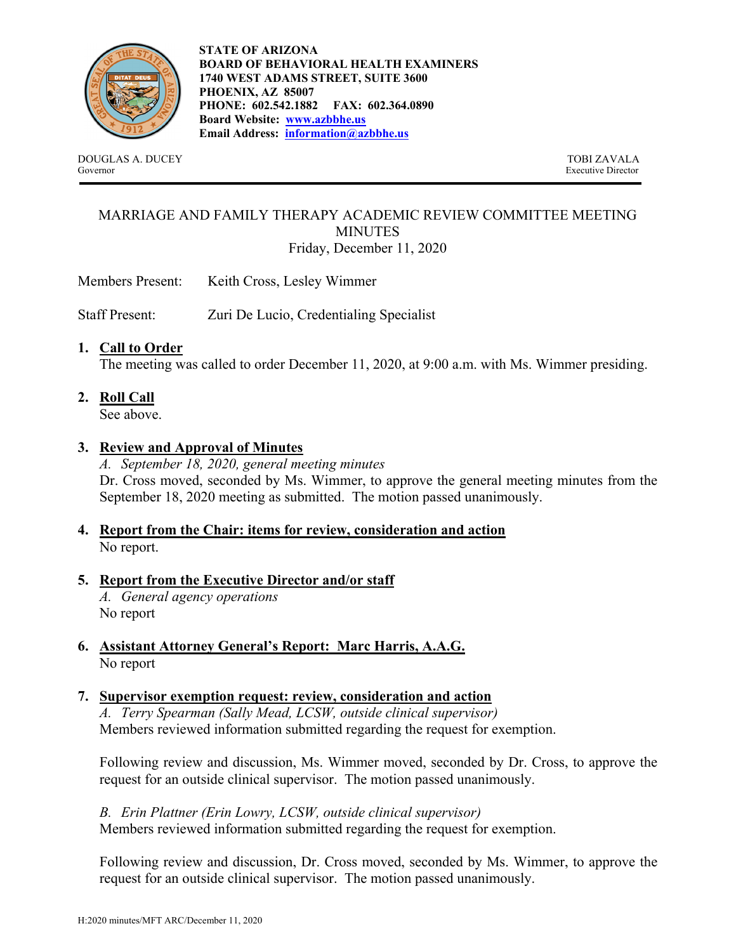

**STATE OF ARIZONA BOARD OF BEHAVIORAL HEALTH EXAMINERS 1740 WEST ADAMS STREET, SUITE 3600 PHOENIX, AZ 85007 PHONE: 602.542.1882 FAX: 602.364.0890 Board Website: www.azbbhe.us Email Address: information@azbbhe.us**

DOUGLAS A. DUCEY TOBI ZAVALA Governor Executive Director

### MARRIAGE AND FAMILY THERAPY ACADEMIC REVIEW COMMITTEE MEETING **MINUTES** Friday, December 11, 2020

Members Present: Keith Cross, Lesley Wimmer

Staff Present: Zuri De Lucio, Credentialing Specialist

### **1. Call to Order**

The meeting was called to order December 11, 2020, at 9:00 a.m. with Ms. Wimmer presiding.

**2. Roll Call** 

See above.

### **3. Review and Approval of Minutes**

*A. September 18, 2020, general meeting minutes*  Dr. Cross moved, seconded by Ms. Wimmer, to approve the general meeting minutes from the September 18, 2020 meeting as submitted. The motion passed unanimously.

- **4. Report from the Chair: items for review, consideration and action** No report.
- **5. Report from the Executive Director and/or staff**

*A. General agency operations*  No report

- **6. Assistant Attorney General's Report: Marc Harris, A.A.G.** No report
- **7. Supervisor exemption request: review, consideration and action**

*A. Terry Spearman (Sally Mead, LCSW, outside clinical supervisor)*  Members reviewed information submitted regarding the request for exemption.

Following review and discussion, Ms. Wimmer moved, seconded by Dr. Cross, to approve the request for an outside clinical supervisor. The motion passed unanimously.

*B. Erin Plattner (Erin Lowry, LCSW, outside clinical supervisor)*  Members reviewed information submitted regarding the request for exemption.

Following review and discussion, Dr. Cross moved, seconded by Ms. Wimmer, to approve the request for an outside clinical supervisor. The motion passed unanimously.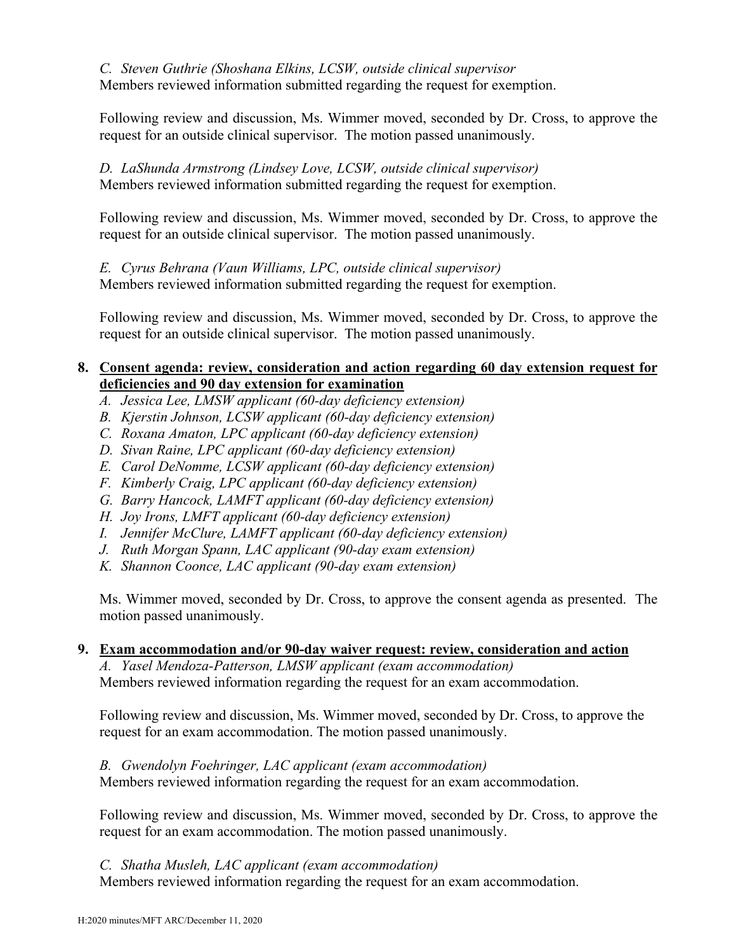*C. Steven Guthrie (Shoshana Elkins, LCSW, outside clinical supervisor* Members reviewed information submitted regarding the request for exemption.

Following review and discussion, Ms. Wimmer moved, seconded by Dr. Cross, to approve the request for an outside clinical supervisor. The motion passed unanimously.

#### *D. LaShunda Armstrong (Lindsey Love, LCSW, outside clinical supervisor)*  Members reviewed information submitted regarding the request for exemption.

Following review and discussion, Ms. Wimmer moved, seconded by Dr. Cross, to approve the request for an outside clinical supervisor. The motion passed unanimously.

*E. Cyrus Behrana (Vaun Williams, LPC, outside clinical supervisor)*  Members reviewed information submitted regarding the request for exemption.

Following review and discussion, Ms. Wimmer moved, seconded by Dr. Cross, to approve the request for an outside clinical supervisor. The motion passed unanimously.

## **8. Consent agenda: review, consideration and action regarding 60 day extension request for deficiencies and 90 day extension for examination**

- *A. Jessica Lee, LMSW applicant (60-day deficiency extension)*
- *B. Kjerstin Johnson, LCSW applicant (60-day deficiency extension)*
- *C. Roxana Amaton, LPC applicant (60-day deficiency extension)*
- *D. Sivan Raine, LPC applicant (60-day deficiency extension)*
- *E. Carol DeNomme, LCSW applicant (60-day deficiency extension)*
- *F. Kimberly Craig, LPC applicant (60-day deficiency extension)*
- *G. Barry Hancock, LAMFT applicant (60-day deficiency extension)*
- *H. Joy Irons, LMFT applicant (60-day deficiency extension)*
- *I. Jennifer McClure, LAMFT applicant (60-day deficiency extension)*
- *J. Ruth Morgan Spann, LAC applicant (90-day exam extension)*
- *K. Shannon Coonce, LAC applicant (90-day exam extension)*

 Ms. Wimmer moved, seconded by Dr. Cross, to approve the consent agenda as presented. The motion passed unanimously.

## **9. Exam accommodation and/or 90-day waiver request: review, consideration and action**

*A. Yasel Mendoza-Patterson, LMSW applicant (exam accommodation)*  Members reviewed information regarding the request for an exam accommodation.

Following review and discussion, Ms. Wimmer moved, seconded by Dr. Cross, to approve the request for an exam accommodation. The motion passed unanimously.

## *B. Gwendolyn Foehringer, LAC applicant (exam accommodation)*

Members reviewed information regarding the request for an exam accommodation.

Following review and discussion, Ms. Wimmer moved, seconded by Dr. Cross, to approve the request for an exam accommodation. The motion passed unanimously.

*C. Shatha Musleh, LAC applicant (exam accommodation)*

Members reviewed information regarding the request for an exam accommodation.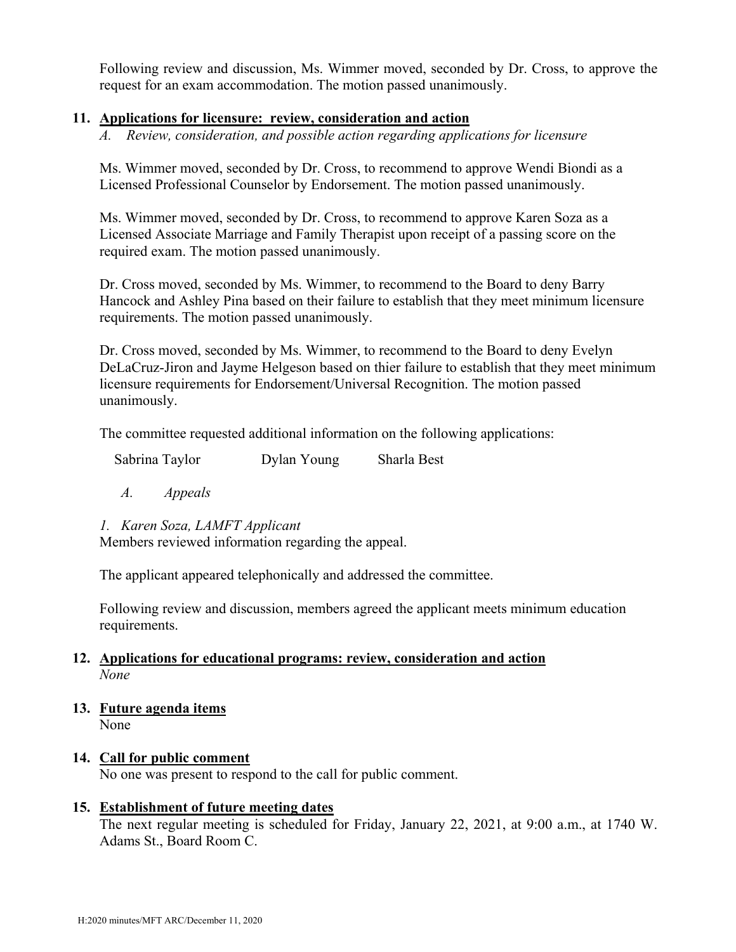Following review and discussion, Ms. Wimmer moved, seconded by Dr. Cross, to approve the request for an exam accommodation. The motion passed unanimously.

#### **11. Applications for licensure: review, consideration and action**

*A. Review, consideration, and possible action regarding applications for licensure* 

Ms. Wimmer moved, seconded by Dr. Cross, to recommend to approve Wendi Biondi as a Licensed Professional Counselor by Endorsement. The motion passed unanimously.

Ms. Wimmer moved, seconded by Dr. Cross, to recommend to approve Karen Soza as a Licensed Associate Marriage and Family Therapist upon receipt of a passing score on the required exam. The motion passed unanimously.

Dr. Cross moved, seconded by Ms. Wimmer, to recommend to the Board to deny Barry Hancock and Ashley Pina based on their failure to establish that they meet minimum licensure requirements. The motion passed unanimously.

Dr. Cross moved, seconded by Ms. Wimmer, to recommend to the Board to deny Evelyn DeLaCruz-Jiron and Jayme Helgeson based on thier failure to establish that they meet minimum licensure requirements for Endorsement/Universal Recognition. The motion passed unanimously.

The committee requested additional information on the following applications:

*A. Appeals* 

## *1. Karen Soza, LAMFT Applicant*

Members reviewed information regarding the appeal.

The applicant appeared telephonically and addressed the committee.

Following review and discussion, members agreed the applicant meets minimum education requirements.

### **12. Applications for educational programs: review, consideration and action**  *None*

**13. Future agenda items**  None

#### **14. Call for public comment**

No one was present to respond to the call for public comment.

## **15. Establishment of future meeting dates**

The next regular meeting is scheduled for Friday, January 22, 2021, at 9:00 a.m., at 1740 W. Adams St., Board Room C.